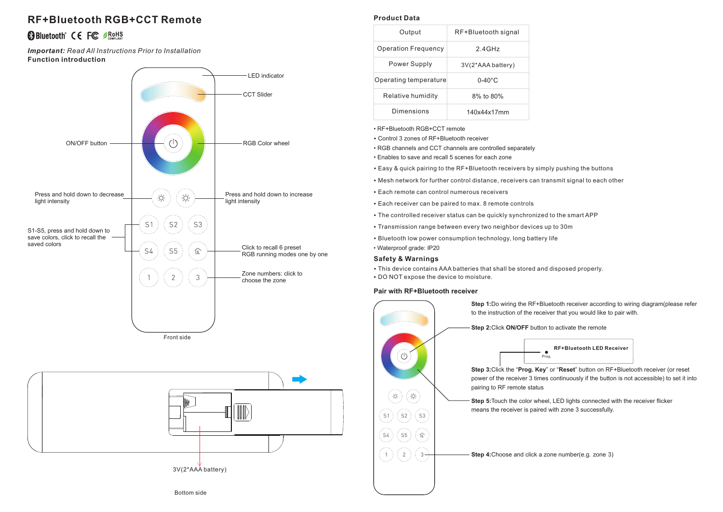# **RF+Bluetooth RGB+CCT Remote**

# **BBluetooth** CE FC **BROHS**

**Function introduction** *Important: Read All Instructions Prior to Installation*





### **Product Data**

| RF+Bluetooth signal |
|---------------------|
| 24GHz               |
| 3V(2*AAA battery)   |
| $0-40^{\circ}$ C    |
| 8% to 80%           |
| 140x44x17mm         |
|                     |

• RF+Bluetooth RGB+CCT remote

- Control 3 zones of RF+Bluetooth receiver
- RGB channels and CCT channels are controlled separately
- Enables to save and recall 5 scenes for each zone
- Easy & quick pairing to the RF+Bluetooth receivers by simply pushing the buttons
- Mesh network for further control distance, receivers can transmit signal to each other
- Each remote can control numerous receivers
- Each receiver can be paired to max. 8 remote controls
- The controlled receiver status can be quickly synchronized to the smart APP
- Transmission range between every two neighbor devices up to 30m
- Bluetooth low power consumption technology, long battery life
- Waterproof grade: IP20

#### **Safety & Warnings**

- This device contains AAA batteries that shall be stored and disposed properly.
- DO NOT expose the device to moisture.

#### **Pair with RF+Bluetooth receiver**



**Step 1:**Do wiring the RF+Bluetooth receiver according to wiring diagram(please refer to the instruction of the receiver that you would like to pair with.

**Step 2:**Click **ON/OFF** button to activate the remote



**Step 3:**Click the "**Prog. Key**" or "**Reset**" button on RF+Bluetooth receiver (or reset power of the receiver 3 times continuously if the button is not accessible) to set it into pairing to RF remote status

**Step 5:**Touch the color wheel, LED lights connected with the receiver flicker means the receiver is paired with zone 3 successfully.

**Step 4:**Choose and click a zone number(e.g. zone 3)